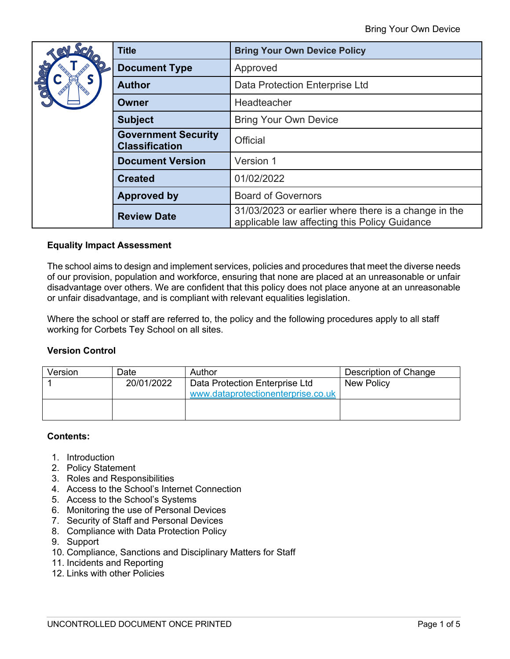| 781 | <b>Title</b>                                        | <b>Bring Your Own Device Policy</b>                                                                   |
|-----|-----------------------------------------------------|-------------------------------------------------------------------------------------------------------|
| QLO | <b>Document Type</b>                                | Approved                                                                                              |
|     | <b>Author</b>                                       | Data Protection Enterprise Ltd                                                                        |
|     | Owner                                               | Headteacher                                                                                           |
|     | <b>Subject</b>                                      | <b>Bring Your Own Device</b>                                                                          |
|     | <b>Government Security</b><br><b>Classification</b> | <b>Official</b>                                                                                       |
|     | <b>Document Version</b>                             | Version 1                                                                                             |
|     | <b>Created</b>                                      | 01/02/2022                                                                                            |
|     | <b>Approved by</b>                                  | <b>Board of Governors</b>                                                                             |
|     | <b>Review Date</b>                                  | 31/03/2023 or earlier where there is a change in the<br>applicable law affecting this Policy Guidance |

# **Equality Impact Assessment**

The school aims to design and implement services, policies and procedures that meet the diverse needs of our provision, population and workforce, ensuring that none are placed at an unreasonable or unfair disadvantage over others. We are confident that this policy does not place anyone at an unreasonable or unfair disadvantage, and is compliant with relevant equalities legislation.

Where the school or staff are referred to, the policy and the following procedures apply to all staff working for Corbets Tey School on all sites.

#### **Version Control**

| Version | Date       | Author                             | Description of Change |
|---------|------------|------------------------------------|-----------------------|
|         | 20/01/2022 | Data Protection Enterprise Ltd     | New Policy            |
|         |            | www.dataprotectionenterprise.co.uk |                       |
|         |            |                                    |                       |
|         |            |                                    |                       |

#### **Contents:**

- 1. Introduction
- 2. Policy Statement
- 3. Roles and Responsibilities
- 4. Access to the School's Internet Connection
- 5. Access to the School's Systems
- 6. Monitoring the use of Personal Devices
- 7. Security of Staff and Personal Devices
- 8. Compliance with Data Protection Policy
- 9. Support
- 10. Compliance, Sanctions and Disciplinary Matters for Staff
- 11. Incidents and Reporting
- 12. Links with other Policies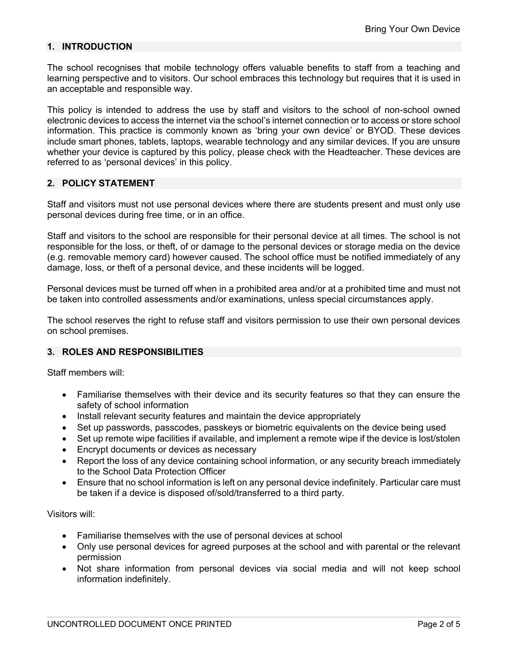# **1. INTRODUCTION**

The school recognises that mobile technology offers valuable benefits to staff from a teaching and learning perspective and to visitors. Our school embraces this technology but requires that it is used in an acceptable and responsible way.

This policy is intended to address the use by staff and visitors to the school of non-school owned electronic devices to access the internet via the school's internet connection or to access or store school information. This practice is commonly known as 'bring your own device' or BYOD. These devices include smart phones, tablets, laptops, wearable technology and any similar devices. If you are unsure whether your device is captured by this policy, please check with the Headteacher. These devices are referred to as 'personal devices' in this policy.

# **2. POLICY STATEMENT**

Staff and visitors must not use personal devices where there are students present and must only use personal devices during free time, or in an office.

Staff and visitors to the school are responsible for their personal device at all times. The school is not responsible for the loss, or theft, of or damage to the personal devices or storage media on the device (e.g. removable memory card) however caused. The school office must be notified immediately of any damage, loss, or theft of a personal device, and these incidents will be logged.

Personal devices must be turned off when in a prohibited area and/or at a prohibited time and must not be taken into controlled assessments and/or examinations, unless special circumstances apply.

The school reserves the right to refuse staff and visitors permission to use their own personal devices on school premises.

#### **3. ROLES AND RESPONSIBILITIES**

Staff members will:

- Familiarise themselves with their device and its security features so that they can ensure the safety of school information
- Install relevant security features and maintain the device appropriately
- Set up passwords, passcodes, passkeys or biometric equivalents on the device being used
- Set up remote wipe facilities if available, and implement a remote wipe if the device is lost/stolen
- Encrypt documents or devices as necessary
- Report the loss of any device containing school information, or any security breach immediately to the School Data Protection Officer
- Ensure that no school information is left on any personal device indefinitely. Particular care must be taken if a device is disposed of/sold/transferred to a third party.

#### Visitors will:

- Familiarise themselves with the use of personal devices at school
- Only use personal devices for agreed purposes at the school and with parental or the relevant permission
- Not share information from personal devices via social media and will not keep school information indefinitely.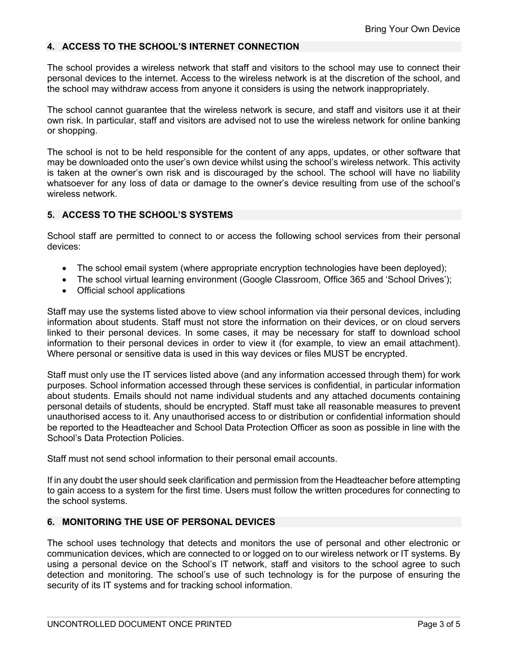#### **4. ACCESS TO THE SCHOOL'S INTERNET CONNECTION**

The school provides a wireless network that staff and visitors to the school may use to connect their personal devices to the internet. Access to the wireless network is at the discretion of the school, and the school may withdraw access from anyone it considers is using the network inappropriately.

The school cannot guarantee that the wireless network is secure, and staff and visitors use it at their own risk. In particular, staff and visitors are advised not to use the wireless network for online banking or shopping.

The school is not to be held responsible for the content of any apps, updates, or other software that may be downloaded onto the user's own device whilst using the school's wireless network. This activity is taken at the owner's own risk and is discouraged by the school. The school will have no liability whatsoever for any loss of data or damage to the owner's device resulting from use of the school's wireless network.

### **5. ACCESS TO THE SCHOOL'S SYSTEMS**

School staff are permitted to connect to or access the following school services from their personal devices:

- The school email system (where appropriate encryption technologies have been deployed);
- The school virtual learning environment (Google Classroom, Office 365 and 'School Drives');
- Official school applications

Staff may use the systems listed above to view school information via their personal devices, including information about students. Staff must not store the information on their devices, or on cloud servers linked to their personal devices. In some cases, it may be necessary for staff to download school information to their personal devices in order to view it (for example, to view an email attachment). Where personal or sensitive data is used in this way devices or files MUST be encrypted.

Staff must only use the IT services listed above (and any information accessed through them) for work purposes. School information accessed through these services is confidential, in particular information about students. Emails should not name individual students and any attached documents containing personal details of students, should be encrypted. Staff must take all reasonable measures to prevent unauthorised access to it. Any unauthorised access to or distribution or confidential information should be reported to the Headteacher and School Data Protection Officer as soon as possible in line with the School's Data Protection Policies.

Staff must not send school information to their personal email accounts.

If in any doubt the user should seek clarification and permission from the Headteacher before attempting to gain access to a system for the first time. Users must follow the written procedures for connecting to the school systems.

# **6. MONITORING THE USE OF PERSONAL DEVICES**

The school uses technology that detects and monitors the use of personal and other electronic or communication devices, which are connected to or logged on to our wireless network or IT systems. By using a personal device on the School's IT network, staff and visitors to the school agree to such detection and monitoring. The school's use of such technology is for the purpose of ensuring the security of its IT systems and for tracking school information.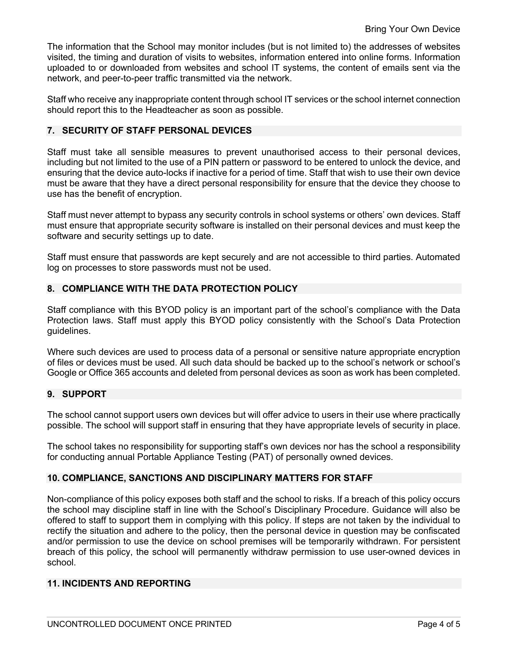The information that the School may monitor includes (but is not limited to) the addresses of websites visited, the timing and duration of visits to websites, information entered into online forms. Information uploaded to or downloaded from websites and school IT systems, the content of emails sent via the network, and peer-to-peer traffic transmitted via the network.

Staff who receive any inappropriate content through school IT services or the school internet connection should report this to the Headteacher as soon as possible.

#### **7. SECURITY OF STAFF PERSONAL DEVICES**

Staff must take all sensible measures to prevent unauthorised access to their personal devices, including but not limited to the use of a PIN pattern or password to be entered to unlock the device, and ensuring that the device auto-locks if inactive for a period of time. Staff that wish to use their own device must be aware that they have a direct personal responsibility for ensure that the device they choose to use has the benefit of encryption.

Staff must never attempt to bypass any security controls in school systems or others' own devices. Staff must ensure that appropriate security software is installed on their personal devices and must keep the software and security settings up to date.

Staff must ensure that passwords are kept securely and are not accessible to third parties. Automated log on processes to store passwords must not be used.

# **8. COMPLIANCE WITH THE DATA PROTECTION POLICY**

Staff compliance with this BYOD policy is an important part of the school's compliance with the Data Protection laws. Staff must apply this BYOD policy consistently with the School's Data Protection guidelines.

Where such devices are used to process data of a personal or sensitive nature appropriate encryption of files or devices must be used. All such data should be backed up to the school's network or school's Google or Office 365 accounts and deleted from personal devices as soon as work has been completed.

#### **9. SUPPORT**

The school cannot support users own devices but will offer advice to users in their use where practically possible. The school will support staff in ensuring that they have appropriate levels of security in place.

The school takes no responsibility for supporting staff's own devices nor has the school a responsibility for conducting annual Portable Appliance Testing (PAT) of personally owned devices.

#### **10. COMPLIANCE, SANCTIONS AND DISCIPLINARY MATTERS FOR STAFF**

Non-compliance of this policy exposes both staff and the school to risks. If a breach of this policy occurs the school may discipline staff in line with the School's Disciplinary Procedure. Guidance will also be offered to staff to support them in complying with this policy. If steps are not taken by the individual to rectify the situation and adhere to the policy, then the personal device in question may be confiscated and/or permission to use the device on school premises will be temporarily withdrawn. For persistent breach of this policy, the school will permanently withdraw permission to use user-owned devices in school.

# **11. INCIDENTS AND REPORTING**